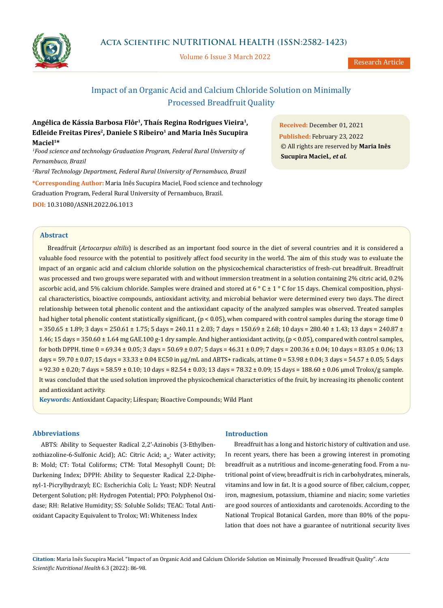

Volume 6 Issue 3 March 2022

Research Article

# Impact of an Organic Acid and Calcium Chloride Solution on Minimally Processed Breadfruit Quality

**Angélica de Kássia Barbosa Flôr1, Thaís Regina Rodrigues Vieira1,**  Edleide Freitas Pires<sup>2</sup>, Daniele S Ribeiro<sup>1</sup> and Maria Inês Sucupira **Maciel1\***

<sup>1</sup> Food science and technology Graduation Program, Federal Rural University of *Pernambuco, Brazil*

*2 Rural Technology Department, Federal Rural University of Pernambuco, Brazil*

**\*Corresponding Author:** Maria Inês Sucupira Maciel, Food science and technology Graduation Program, Federal Rural University of Pernambuco, Brazil. **DOI:** [10.31080/ASNH.2022.06.1013](https://actascientific.com/ASNH/pdf/ASNH-06-1013.pdf)

**Abstract**

**Received:** December 01, 2021 **Published:** February 23, 2022 © All rights are reserved by **Maria Inês Sucupira Maciel***., et al.*

Breadfruit (*Artocarpus altilis*) is described as an important food source in the diet of several countries and it is considered a valuable food resource with the potential to positively affect food security in the world. The aim of this study was to evaluate the impact of an organic acid and calcium chloride solution on the physicochemical characteristics of fresh-cut breadfruit. Breadfruit was processed and two groups were separated with and without immersion treatment in a solution containing 2% citric acid, 0.2% ascorbic acid, and 5% calcium chloride. Samples were drained and stored at 6  $\degree$  C  $\pm$  1  $\degree$  C for 15 days. Chemical composition, physical characteristics, bioactive compounds, antioxidant activity, and microbial behavior were determined every two days. The direct relationship between total phenolic content and the antioxidant capacity of the analyzed samples was observed. Treated samples had higher total phenolic content statistically significant, (p < 0.05), when compared with control samples during the storage time 0 = 350.65 ± 1.89; 3 days = 250.61 ± 1.75; 5 days = 240.11 ± 2.03; 7 days = 150.69 ± 2.68; 10 days = 280.40 ± 1.43; 13 days = 240.87 ± 1.46; 15 days = 350.60 ± 1.64 mg GAE.100 g-1 dry sample. And higher antioxidant activity, (p < 0.05), compared with control samples, for both DPPH. time  $0 = 69.34 \pm 0.05$ ; 3 days =  $50.69 \pm 0.07$ ; 5 days =  $46.31 \pm 0.09$ ; 7 days =  $200.36 \pm 0.04$ ; 10 days =  $83.05 \pm 0.06$ ; 13 days = 59.70 ± 0.07; 15 days = 33.33 ± 0.04 EC50 in μg/mL and ABTS+ radicals, at time 0 = 53.98 ± 0.04; 3 days = 54.57 ± 0.05; 5 days  $= 92.30 \pm 0.20$ ; 7 days =  $58.59 \pm 0.10$ ; 10 days =  $82.54 \pm 0.03$ ; 13 days =  $78.32 \pm 0.09$ ; 15 days =  $188.60 \pm 0.06$  µmol Trolox/g sample. It was concluded that the used solution improved the physicochemical characteristics of the fruit, by increasing its phenolic content and antioxidant activity.

**Keywords:** Antioxidant Capacity; Lifespan; Bioactive Compounds; Wild Plant

# **Abbreviations**

ABTS: Ability to Sequester Radical 2,2'-Azinobis (3-Ethylbenzothiazoline-6-Sulfonic Acid); AC: Citric Acid; a<sub>w</sub>: Water activity; B: Mold; CT: Total Coliforms; CTM: Total Mesophyll Count; DI: Darkening Index; DPPH: Ability to Sequester Radical 2,2-Diphenyl-1-Picrylhydrazyl; EC: Escherichia Coli; L: Yeast; NDF: Neutral Detergent Solution; pH: Hydrogen Potential; PPO: Polyphenol Oxidase; RH: Relative Humidity; SS: Soluble Solids; TEAC: Total Antioxidant Capacity Equivalent to Trolox; WI: Whiteness Index

## **Introduction**

Breadfruit has a long and historic history of cultivation and use. In recent years, there has been a growing interest in promoting breadfruit as a nutritious and income-generating food. From a nutritional point of view, breadfruit is rich in carbohydrates, minerals, vitamins and low in fat. It is a good source of fiber, calcium, copper, iron, magnesium, potassium, thiamine and niacin; some varieties are good sources of antioxidants and carotenoids. According to the National Tropical Botanical Garden, more than 80% of the population that does not have a guarantee of nutritional security lives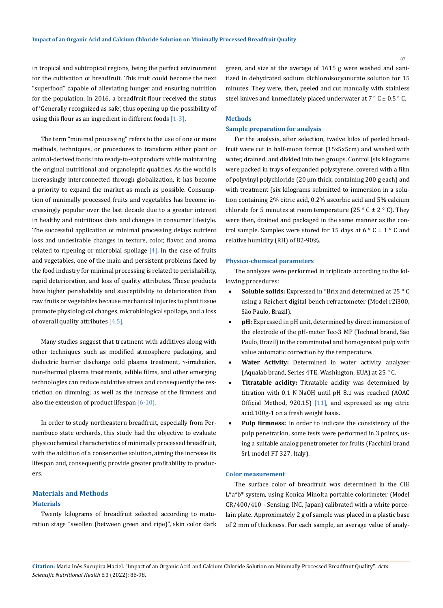in tropical and subtropical regions, being the perfect environment for the cultivation of breadfruit. This fruit could become the next "superfood" capable of alleviating hunger and ensuring nutrition for the population. In 2016, a breadfruit flour received the status of 'Generally recognized as safe', thus opening up the possibility of using this flour as an ingredient in different foods  $[1-3]$ .

The term "minimal processing" refers to the use of one or more methods, techniques, or procedures to transform either plant or animal-derived foods into ready-to-eat products while maintaining the original nutritional and organoleptic qualities. As the world is increasingly interconnected through globalization, it has become a priority to expand the market as much as possible. Consumption of minimally processed fruits and vegetables has become increasingly popular over the last decade due to a greater interest in healthy and nutritious diets and changes in consumer lifestyle. The successful application of minimal processing delays nutrient loss and undesirable changes in texture, color, flavor, and aroma related to ripening or microbial spoilage  $[4]$ . In the case of fruits and vegetables, one of the main and persistent problems faced by the food industry for minimal processing is related to perishability, rapid deterioration, and loss of quality attributes. These products have higher perishability and susceptibility to deterioration than raw fruits or vegetables because mechanical injuries to plant tissue promote physiological changes, microbiological spoilage, and a loss of overall quality attributes [4,5].

Many studies suggest that treatment with additives along with other techniques such as modified atmosphere packaging, and dielectric barrier discharge cold plasma treatment, γ-irradiation, non-thermal plasma treatments, edible films, and other emerging technologies can reduce oxidative stress and consequently the restriction on dimming; as well as the increase of the firmness and also the extension of product lifespan  $[6-10]$ .

In order to study northeastern breadfruit, especially from Pernambuco state orchards, this study had the objective to evaluate physicochemical characteristics of minimally processed breadfruit, with the addition of a conservative solution, aiming the increase its lifespan and, consequently, provide greater profitability to producers.

# **Materials and Methods Materials**

Twenty kilograms of breadfruit selected according to maturation stage "swollen (between green and ripe)", skin color dark green, and size at the average of 1615 g were washed and sanitized in dehydrated sodium dichloroisocyanurate solution for 15 minutes. They were, then, peeled and cut manually with stainless steel knives and immediately placed underwater at  $7 ° C ± 0.5 ° C$ .

# **Methods**

# **Sample preparation for analysis**

For the analysis, after selection, twelve kilos of peeled breadfruit were cut in half-moon format (15x5x5cm) and washed with water, drained, and divided into two groups. Control (six kilograms were packed in trays of expanded polystyrene, covered with a film of polyvinyl polychloride (20 μm thick, containing 200 g each) and with treatment (six kilograms submitted to immersion in a solution containing 2% citric acid, 0.2% ascorbic acid and 5% calcium chloride for 5 minutes at room temperature (25  $\degree$  C  $\pm$  2  $\degree$  C). They were then, drained and packaged in the same manner as the control sample. Samples were stored for 15 days at  $6^{\circ}$  C  $\pm$  1  $^{\circ}$  C and relative humidity (RH) of 82-90%.

#### **Physico-chemical parameters**

The analyzes were performed in triplicate according to the following procedures:

- **Soluble solids:** Expressed in °Brix and determined at 25 °C using a Reichert digital bench refractometer (Model r2i300, São Paulo, Brazil).
- pH: Expressed in pH unit, determined by direct immersion of the electrode of the pH-meter Tec-3 MP (Technal brand, São Paulo, Brazil) in the comminuted and homogenized pulp with value automatic correction by the temperature.
- **Water Activity:** Determined in water activity analyzer (Aqualab brand, Series 4TE, Washington, EUA) at 25 ° C.
- Titratable acidity: Titratable acidity was determined by titration with 0.1 N NaOH until pH 8.1 was reached (AOAC Official Method, 920.15)  $[11]$ , and expressed as mg citric acid.100g-1 on a fresh weight basis.
- Pulp firmness: In order to indicate the consistency of the pulp penetration, some tests were performed in 3 points, using a suitable analog penetrometer for fruits (Facchini brand Srl, model FT 327, Italy).

#### **Color measurement**

The surface color of breadfruit was determined in the CIE L\*a\*b\* system, using Konica Minolta portable colorimeter (Model CR/400/410 - Sensing, INC, Japan) calibrated with a white porcelain plate. Approximately 2 g of sample was placed in a plastic base of 2 mm of thickness. For each sample, an average value of analy-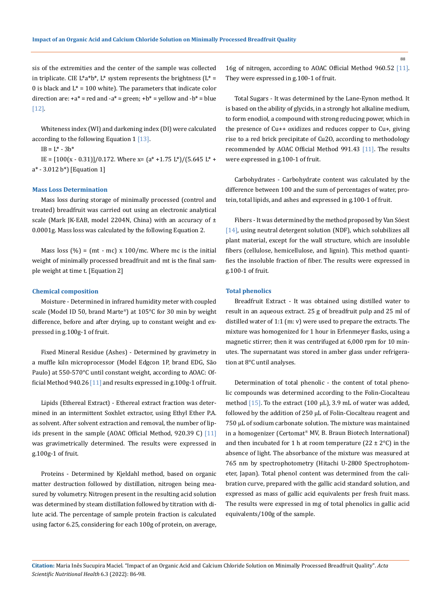sis of the extremities and the center of the sample was collected in triplicate. CIE L\*a\*b\*, L\* system represents the brightness ( $L^*$  = 0 is black and  $L^* = 100$  white). The parameters that indicate color direction are:  $+a^*$  = red and  $-a^*$  = green;  $+b^*$  = yellow and  $-b^*$  = blue [12].

Whiteness index (WI) and darkening index (DI) were calculated according to the following Equation 1 [13].

 $IB = L^* - 3b^*$ 

IE =  $[100(x - 0.31)]/0.172$ . Where x=  $(a^* + 1.75 \text{ L}^*)/(5.645 \text{ L}^* +$ a\* - 3.012 b\*) [Equation 1]

#### **Mass Loss Determination**

Mass loss during storage of minimally processed (control and treated) breadfruit was carried out using an electronic analytical scale (Mark JK-EAB, model 2204N, China) with an accuracy of  $\pm$ 0.0001g. Mass loss was calculated by the following Equation 2.

Mass loss  $(\%) = (mt - mc) \times 100/mc$ . Where mc is the initial weight of minimally processed breadfruit and mt is the final sample weight at time t. [Equation 2]

#### **Chemical composition**

Moisture - Determined in infrared humidity meter with coupled scale (Model ID 50, brand Marte®) at 105°C for 30 min by weight difference, before and after drying, up to constant weight and expressed in g.100g-1 of fruit.

Fixed Mineral Residue (Ashes) - Determined by gravimetry in a muffle kiln microprocessor (Model Edgcon 1P, brand EDG, São Paulo) at 550-570°C until constant weight, according to AOAC: Official Method 940.26  $[11]$  and results expressed in g.100g-1 of fruit.

Lipids (Ethereal Extract) - Ethereal extract fraction was determined in an intermittent Soxhlet extractor, using Ethyl Ether P.A. as solvent. After solvent extraction and removal, the number of lipids present in the sample (AOAC Official Method, 920.39 C)  $[11]$ was gravimetrically determined. The results were expressed in g.100g-1 of fruit.

Proteins - Determined by Kjeldahl method, based on organic matter destruction followed by distillation, nitrogen being measured by volumetry. Nitrogen present in the resulting acid solution was determined by steam distillation followed by titration with dilute acid. The percentage of sample protein fraction is calculated using factor 6.25, considering for each 100g of protein, on average, 16g of nitrogen, according to AOAC Official Method 960.52 [11]. They were expressed in g.100-1 of fruit.

Total Sugars - It was determined by the Lane-Eynon method. It is based on the ability of glycids, in a strongly hot alkaline medium, to form enodiol, a compound with strong reducing power, which in the presence of Cu++ oxidizes and reduces copper to Cu+, giving rise to a red brick precipitate of Cu2O, according to methodology recommended by AOAC Official Method 991.43 [11]. The results were expressed in g.100-1 of fruit.

Carbohydrates - Carbohydrate content was calculated by the difference between 100 and the sum of percentages of water, protein, total lipids, and ashes and expressed in g.100-1 of fruit.

Fibers - It was determined by the method proposed by Van Söest [14], using neutral detergent solution (NDF), which solubilizes all plant material, except for the wall structure, which are insoluble fibers (cellulose, hemicellulose, and lignin). This method quantifies the insoluble fraction of fiber. The results were expressed in g.100-1 of fruit.

#### **Total phenolics**

Breadfruit Extract - It was obtained using distilled water to result in an aqueous extract. 25 g of breadfruit pulp and 25 ml of distilled water of 1:1 (m: v) were used to prepare the extracts. The mixture was homogenized for 1 hour in Erlenmeyer flasks, using a magnetic stirrer; then it was centrifuged at 6,000 rpm for 10 minutes. The supernatant was stored in amber glass under refrigeration at 8°C until analyses.

Determination of total phenolic - the content of total phenolic compounds was determined according to the Folin-Ciocalteau method [15]. To the extract (100 μL), 3.9 mL of water was added, followed by the addition of 250 μL of Folin-Ciocalteau reagent and 750 μL of sodium carbonate solution. The mixture was maintained in a homogenizer (Certomat® MV, B. Braun Biotech International) and then incubated for 1 h at room temperature (22  $\pm$  2°C) in the absence of light. The absorbance of the mixture was measured at 765 nm by spectrophotometry (Hitachi U-2800 Spectrophotometer, Japan). Total phenol content was determined from the calibration curve, prepared with the gallic acid standard solution, and expressed as mass of gallic acid equivalents per fresh fruit mass. The results were expressed in mg of total phenolics in gallic acid equivalents/100g of the sample.

**Citation:** Maria Inês Sucupira Maciel*.* "Impact of an Organic Acid and Calcium Chloride Solution on Minimally Processed Breadfruit Quality". *Acta Scientific Nutritional Health* 6.3 (2022): 86-98.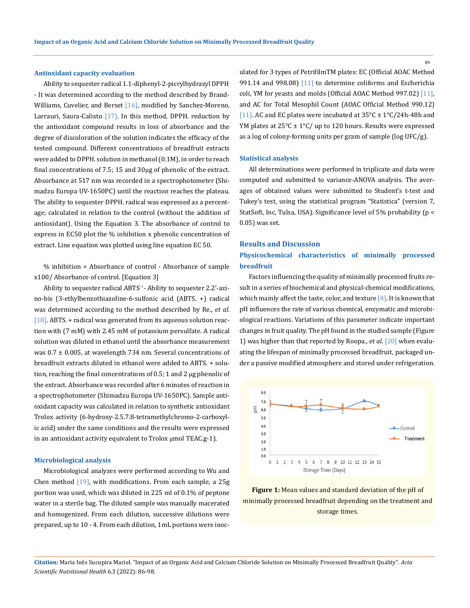#### **Antioxidant capacity evaluation**

Ability to sequester radical 1.1-diphenyl-2-picrylhydrazyl DPPH. - It was determined according to the method described by Brand-Williams, Cuvelier, and Berset [16], modified by Sanchez-Moreno, Larrauri, Saura-Calixto [17]. In this method, DPPH. reduction by the antioxidant compound results in loss of absorbance and the degree of discoloration of the solution indicates the efficacy of the tested compound. Different concentrations of breadfruit extracts were added to DPPH. solution in methanol (0.1M), in order to reach final concentrations of 7.5; 15 and 30μg of phenolic of the extract. Absorbance at 517 nm was recorded in a spectrophotometer (Shimadzu Europa UV-1650PC) until the reaction reaches the plateau. The ability to sequester DPPH. radical was expressed as a percentage; calculated in relation to the control (without the addition of antioxidant). Using the Equation 3. The absorbance of control to express in EC50 plot the % inhibition x phenolic concentration of extract. Line equation was plotted using line equation EC 50.

% inhibition = Absorbance of control - Absorbance of sample x100/ Absorbance of control. [Equation 3]

Ability to sequester radical ABTS. +- Ability to sequester 2.2'-azino-bis (3-ethylbenzothiazoline-6-sulfonic acid (ABTS. +) radical was determined according to the method described by Re., *et al*.  $[18]$ . ABTS. + radical was generated from its aqueous solution reaction with (7 mM) with 2.45 mM of potassium persulfate. A radical solution was diluted in ethanol until the absorbance measurement was  $0.7 \pm 0.005$ , at wavelength 734 nm. Several concentrations of breadfruit extracts diluted in ethanol were added to ABTS. + solution, reaching the final concentrations of 0.5; 1 and 2 μg phenolic of the extract. Absorbance was recorded after 6 minutes of reaction in a spectrophotometer (Shimadzu Europa UV-1650PC). Sample antioxidant capacity was calculated in relation to synthetic antioxidant Trolox activity (6-hydroxy-2.5.7.8-tetramethylchromo-2-carboxylic acid) under the same conditions and the results were expressed in an antioxidant activity equivalent to Trolox μmol TEAC.g-1).

## **Microbiological analysis**

Microbiological analyzes were performed according to Wu and Chen method  $[19]$ , with modifications. From each sample, a 25g portion was used, which was diluted in 225 ml of 0.1% of peptone water in a sterile bag. The diluted sample was manually macerated and homogenized. From each dilution, successive dilutions were prepared, up to 10 - 4. From each dilution, 1mL portions were inoculated for 3 types of PetrifilmTM plates: EC (Official AOAC Method 991.14 and 998.08) [11] to determine coliforms and Escherichia coli, YM for yeasts and molds (Official AOAC Method 997.02) [11], and AC for Total Mesophil Count (AOAC Official Method 990.12) [11]. AC and EC plates were incubated at  $35^{\circ}$ C ± 1°C/24h-48h and YM plates at  $25^{\circ}$ C ± 1°C/ up to 120 hours. Results were expressed as a log of colony-forming units per gram of sample (log UFC/g).

#### **Statistical analysis**

All determinations were performed in triplicate and data were computed and submitted to variance-ANOVA analysis. The averages of obtained values were submitted to Student's t-test and Tukey's test, using the statistical program "Statistica" (version 7, StatSoft, Inc, Tulsa, USA). Significance level of 5% probability (p < 0.05) was set.

#### **Results and Discussion**

# **Physicochemical characteristics of minimally processed breadfruit**

Factors influencing the quality of minimally processed fruits result in a series of biochemical and physical-chemical modifications, which mainly affect the taste, color, and texture  $[4]$ . It is known that pH influences the rate of various chemical, enzymatic and microbiological reactions. Variations of this parameter indicate important changes in fruit quality. The pH found in the studied sample (Figure 1) was higher than that reported by Roopa., *et al*. [20] when evaluating the lifespan of minimally processed breadfruit, packaged under a passive modified atmosphere and stored under refrigeration.



**Figure 1:** Mean values and standard deviation of the pH of minimally processed breadfruit depending on the treatment and storage times.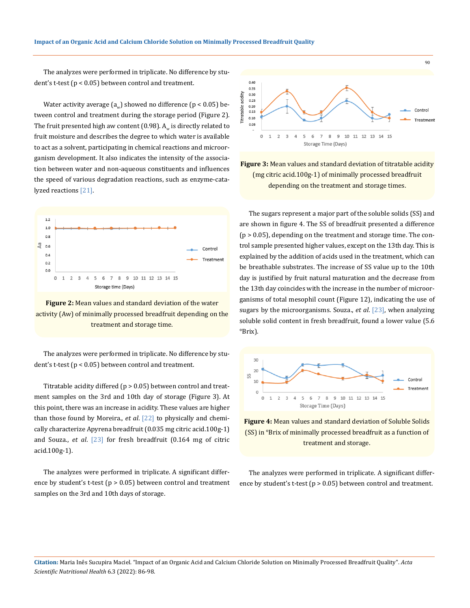The analyzes were performed in triplicate. No difference by student's t-test (p < 0.05) between control and treatment.

Water activity average  $(a_{u})$  showed no difference  $(p < 0.05)$  between control and treatment during the storage period (Figure 2). The fruit presented high aw content (0.98).  $A_w$  is directly related to fruit moisture and describes the degree to which water is available to act as a solvent, participating in chemical reactions and microorganism development. It also indicates the intensity of the association between water and non-aqueous constituents and influences the speed of various degradation reactions, such as enzyme-catalyzed reactions [21].



**Figure 2:** Mean values and standard deviation of the water activity (Aw) of minimally processed breadfruit depending on the treatment and storage time.

The analyzes were performed in triplicate. No difference by student's t-test (p < 0.05) between control and treatment.

Titratable acidity differed ( $p > 0.05$ ) between control and treatment samples on the 3rd and 10th day of storage (Figure 3). At this point, there was an increase in acidity. These values are higher than those found by Moreira., *et al*. [22] to physically and chemically characterize Apyrena breadfruit (0.035 mg citric acid.100g-1) and Souza., *et al*. [23] for fresh breadfruit (0.164 mg of citric acid.100g-1).

The analyzes were performed in triplicate. A significant difference by student's t-test ( $p > 0.05$ ) between control and treatment samples on the 3rd and 10th days of storage.





The sugars represent a major part of the soluble solids (SS) and are shown in figure 4. The SS of breadfruit presented a difference  $(p > 0.05)$ , depending on the treatment and storage time. The control sample presented higher values, except on the 13th day. This is explained by the addition of acids used in the treatment, which can be breathable substrates. The increase of SS value up to the 10th day is justified by fruit natural maturation and the decrease from the 13th day coincides with the increase in the number of microorganisms of total mesophil count (Figure 12), indicating the use of sugars by the microorganisms. Souza., *et al*. [23], when analyzing soluble solid content in fresh breadfruit, found a lower value (5.6 °Brix).





The analyzes were performed in triplicate. A significant difference by student's t-test (p > 0.05) between control and treatment.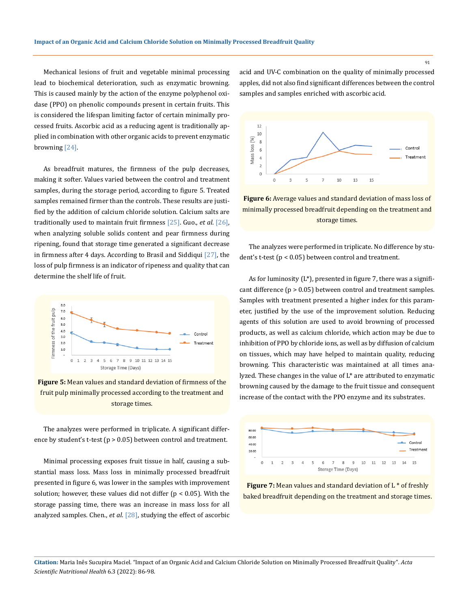Mechanical lesions of fruit and vegetable minimal processing lead to biochemical deterioration, such as enzymatic browning. This is caused mainly by the action of the enzyme polyphenol oxidase (PPO) on phenolic compounds present in certain fruits. This is considered the lifespan limiting factor of certain minimally processed fruits. Ascorbic acid as a reducing agent is traditionally applied in combination with other organic acids to prevent enzymatic browning [24].

As breadfruit matures, the firmness of the pulp decreases, making it softer. Values varied between the control and treatment samples, during the storage period, according to figure 5. Treated samples remained firmer than the controls. These results are justified by the addition of calcium chloride solution. Calcium salts are traditionally used to maintain fruit firmness [25]. Guo., *et al*. [26], when analyzing soluble solids content and pear firmness during ripening, found that storage time generated a significant decrease in firmness after 4 days. According to Brasil and Siddiqui  $[27]$ , the loss of pulp firmness is an indicator of ripeness and quality that can determine the shelf life of fruit.



**Figure 5:** Mean values and standard deviation of firmness of the fruit pulp minimally processed according to the treatment and storage times.

The analyzes were performed in triplicate. A significant difference by student's t-test (p > 0.05) between control and treatment.

Minimal processing exposes fruit tissue in half, causing a substantial mass loss. Mass loss in minimally processed breadfruit presented in figure 6, was lower in the samples with improvement solution; however, these values did not differ ( $p < 0.05$ ). With the storage passing time, there was an increase in mass loss for all analyzed samples. Chen., *et al*. [28], studying the effect of ascorbic

acid and UV-C combination on the quality of minimally processed apples, did not also find significant differences between the control samples and samples enriched with ascorbic acid.



**Figure 6:** Average values and standard deviation of mass loss of minimally processed breadfruit depending on the treatment and storage times.

The analyzes were performed in triplicate. No difference by student's t-test (p < 0.05) between control and treatment.

As for luminosity  $(L^*)$ , presented in figure 7, there was a significant difference (p > 0.05) between control and treatment samples. Samples with treatment presented a higher index for this parameter, justified by the use of the improvement solution. Reducing agents of this solution are used to avoid browning of processed products, as well as calcium chloride, which action may be due to inhibition of PPO by chloride ions, as well as by diffusion of calcium on tissues, which may have helped to maintain quality, reducing browning. This characteristic was maintained at all times analyzed. These changes in the value of L\* are attributed to enzymatic browning caused by the damage to the fruit tissue and consequent increase of the contact with the PPO enzyme and its substrates.



**Figure 7:** Mean values and standard deviation of L \* of freshly baked breadfruit depending on the treatment and storage times.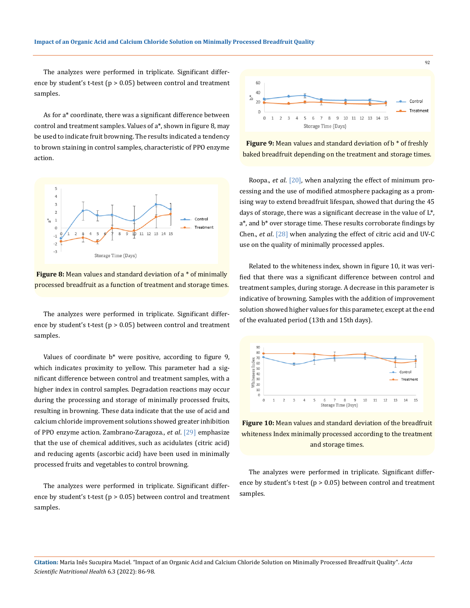The analyzes were performed in triplicate. Significant difference by student's t-test ( $p > 0.05$ ) between control and treatment samples.

As for a\* coordinate, there was a significant difference between control and treatment samples. Values of a\*, shown in figure 8, may be used to indicate fruit browning. The results indicated a tendency to brown staining in control samples, characteristic of PPO enzyme action.



**Figure 8:** Mean values and standard deviation of a \* of minimally processed breadfruit as a function of treatment and storage times.

The analyzes were performed in triplicate. Significant difference by student's t-test (p > 0.05) between control and treatment samples.

Values of coordinate b\* were positive, according to figure 9, which indicates proximity to yellow. This parameter had a significant difference between control and treatment samples, with a higher index in control samples. Degradation reactions may occur during the processing and storage of minimally processed fruits, resulting in browning. These data indicate that the use of acid and calcium chloride improvement solutions showed greater inhibition of PPO enzyme action. Zambrano-Zaragoza., *et al*. [29] emphasize that the use of chemical additives, such as acidulates (citric acid) and reducing agents (ascorbic acid) have been used in minimally processed fruits and vegetables to control browning.

The analyzes were performed in triplicate. Significant difference by student's t-test ( $p > 0.05$ ) between control and treatment samples.



**Figure 9:** Mean values and standard deviation of b<sup>\*</sup> of freshly baked breadfruit depending on the treatment and storage times.

Roopa., *et al*. [20], when analyzing the effect of minimum processing and the use of modified atmosphere packaging as a promising way to extend breadfruit lifespan, showed that during the 45 days of storage, there was a significant decrease in the value of L\*, a\*, and b\* over storage time. These results corroborate findings by Chen., *et al*. [28] when analyzing the effect of citric acid and UV-C use on the quality of minimally processed apples.

Related to the whiteness index, shown in figure 10, it was verified that there was a significant difference between control and treatment samples, during storage. A decrease in this parameter is indicative of browning. Samples with the addition of improvement solution showed higher values for this parameter, except at the end of the evaluated period (13th and 15th days).



**Figure 10:** Mean values and standard deviation of the breadfruit whiteness Index minimally processed according to the treatment and storage times.

The analyzes were performed in triplicate. Significant difference by student's t-test ( $p > 0.05$ ) between control and treatment samples.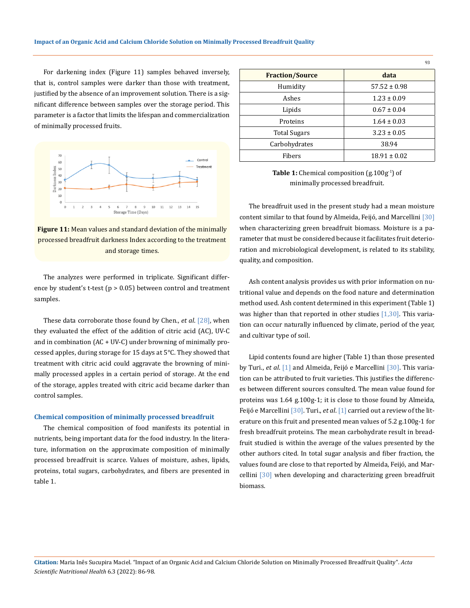For darkening index (Figure 11) samples behaved inversely, that is, control samples were darker than those with treatment, justified by the absence of an improvement solution. There is a significant difference between samples over the storage period. This parameter is a factor that limits the lifespan and commercialization of minimally processed fruits.



**Figure 11:** Mean values and standard deviation of the minimally processed breadfruit darkness Index according to the treatment and storage times.

The analyzes were performed in triplicate. Significant difference by student's t-test ( $p > 0.05$ ) between control and treatment samples.

These data corroborate those found by Chen., *et al*. [28], when they evaluated the effect of the addition of citric acid (AC), UV-C and in combination (AC + UV-C) under browning of minimally processed apples, during storage for 15 days at 5°C. They showed that treatment with citric acid could aggravate the browning of minimally processed apples in a certain period of storage. At the end of the storage, apples treated with citric acid became darker than control samples.

#### **Chemical composition of minimally processed breadfruit**

The chemical composition of food manifests its potential in nutrients, being important data for the food industry. In the literature, information on the approximate composition of minimally processed breadfruit is scarce. Values of moisture, ashes, lipids, proteins, total sugars, carbohydrates, and fibers are presented in table 1.

|                        | 93               |
|------------------------|------------------|
| <b>Fraction/Source</b> | data             |
| Humidity               | $57.52 \pm 0.98$ |
| Ashes                  | $1.23 \pm 0.09$  |
| Lipids                 | $0.67 \pm 0.04$  |
| Proteins               | $1.64 \pm 0.03$  |
| <b>Total Sugars</b>    | $3.23 \pm 0.05$  |
| Carbohydrates          | 38.94            |
| Fibers                 | $18.91 \pm 0.02$ |

Table 1: Chemical composition (g.100g<sup>-1</sup>) of minimally processed breadfruit.

The breadfruit used in the present study had a mean moisture content similar to that found by Almeida, Feijó, and Marcellini [30] when characterizing green breadfruit biomass. Moisture is a parameter that must be considered because it facilitates fruit deterioration and microbiological development, is related to its stability, quality, and composition.

Ash content analysis provides us with prior information on nutritional value and depends on the food nature and determination method used. Ash content determined in this experiment (Table 1) was higher than that reported in other studies  $[1,30]$ . This variation can occur naturally influenced by climate, period of the year, and cultivar type of soil.

Lipid contents found are higher (Table 1) than those presented by Turi., *et al*. [1] and Almeida, Feijó e Marcellini [30]. This variation can be attributed to fruit varieties. This justifies the differences between different sources consulted. The mean value found for proteins was 1.64 g.100g-1; it is close to those found by Almeida, Feijó e Marcellini [30]. Turi., *et al*. [1] carried out a review of the literature on this fruit and presented mean values of 5.2 g.100g-1 for fresh breadfruit proteins. The mean carbohydrate result in breadfruit studied is within the average of the values presented by the other authors cited. In total sugar analysis and fiber fraction, the values found are close to that reported by Almeida, Feijó, and Marcellini [30] when developing and characterizing green breadfruit biomass.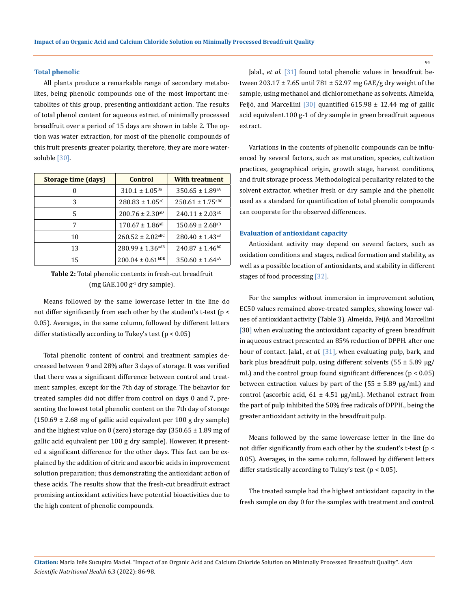# **Total phenolic**

All plants produce a remarkable range of secondary metabolites, being phenolic compounds one of the most important metabolites of this group, presenting antioxidant action. The results of total phenol content for aqueous extract of minimally processed breadfruit over a period of 15 days are shown in table 2. The option was water extraction, for most of the phenolic compounds of this fruit presents greater polarity, therefore, they are more watersoluble [30].

| Storage time (days) | Control                          | <b>With treatment</b>            |
|---------------------|----------------------------------|----------------------------------|
|                     | $310.1 \pm 1.05^{Ba}$            | $350.65 \pm 1.89$ <sup>aA</sup>  |
| 3                   | $280.83 \pm 1.05$ <sup>aC</sup>  | $250.61 \pm 1.75$ <sup>aBC</sup> |
| 5                   | $200.76 \pm 2.30^{aD}$           | $240.11 \pm 2.03$ <sup>aC</sup>  |
| 7                   | $170.67 \pm 1.86$ <sup>aE</sup>  | $150.69 \pm 2.68$ <sup>aD</sup>  |
| 10                  | $260.52 \pm 2.02$ <sup>aBC</sup> | $280.40 \pm 1.43$ <sup>aB</sup>  |
| 13                  | $280.99 \pm 1.36$ <sup>aAB</sup> | $240.87 \pm 1.46$ <sup>bC</sup>  |
| 15                  | $200.04 \pm 0.61^{\text{bDE}}$   | $350.60 \pm 1.64$ <sup>aA</sup>  |

| <b>Table 2:</b> Total phenolic contents in fresh-cut breadfruit |  |
|-----------------------------------------------------------------|--|
| (mg GAE.100 $g1$ dry sample).                                   |  |

Means followed by the same lowercase letter in the line do not differ significantly from each other by the student's t-test (p < 0.05). Averages, in the same column, followed by different letters differ statistically according to Tukey's test  $(p < 0.05)$ 

Total phenolic content of control and treatment samples decreased between 9 and 28% after 3 days of storage. It was verified that there was a significant difference between control and treatment samples, except for the 7th day of storage. The behavior for treated samples did not differ from control on days 0 and 7, presenting the lowest total phenolic content on the 7th day of storage  $(150.69 \pm 2.68 \text{ mg of gallic acid equivalent per } 100 \text{ g dry sample})$ and the highest value on 0 (zero) storage day  $(350.65 \pm 1.89 \text{ mg of})$ gallic acid equivalent per 100 g dry sample). However, it presented a significant difference for the other days. This fact can be explained by the addition of citric and ascorbic acids in improvement solution preparation; thus demonstrating the antioxidant action of these acids. The results show that the fresh-cut breadfruit extract promising antioxidant activities have potential bioactivities due to the high content of phenolic compounds.

Jalal., *et al*. [31] found total phenolic values in breadfruit between 203.17 ± 7.65 until 781 ± 52.97 mg GAE/g dry weight of the sample, using methanol and dichloromethane as solvents. Almeida, Feijó, and Marcellini [30] quantified 615.98  $\pm$  12.44 mg of gallic acid equivalent.100 g-1 of dry sample in green breadfruit aqueous extract.

Variations in the contents of phenolic compounds can be influenced by several factors, such as maturation, species, cultivation practices, geographical origin, growth stage, harvest conditions, and fruit storage process. Methodological peculiarity related to the solvent extractor, whether fresh or dry sample and the phenolic used as a standard for quantification of total phenolic compounds can cooperate for the observed differences.

# **Evaluation of antioxidant capacity**

Antioxidant activity may depend on several factors, such as oxidation conditions and stages, radical formation and stability, as well as a possible location of antioxidants, and stability in different stages of food processing [32].

For the samples without immersion in improvement solution, EC50 values remained above-treated samples, showing lower values of antioxidant activity (Table 3). Almeida, Feijó, and Marcellini [30] when evaluating the antioxidant capacity of green breadfruit in aqueous extract presented an 85% reduction of DPPH. after one hour of contact. Jalal., *et al*. [31], when evaluating pulp, bark, and bark plus breadfruit pulp, using different solvents ( $55 \pm 5.89$  µg/ mL) and the control group found significant differences (p < 0.05) between extraction values by part of the  $(55 \pm 5.89 \text{ µg/mL})$  and control (ascorbic acid,  $61 \pm 4.51$  µg/mL). Methanol extract from the part of pulp inhibited the 50% free radicals of DPPH., being the greater antioxidant activity in the breadfruit pulp.

Means followed by the same lowercase letter in the line do not differ significantly from each other by the student's t-test (p < 0.05). Averages, in the same column, followed by different letters differ statistically according to Tukey's test ( $p < 0.05$ ).

The treated sample had the highest antioxidant capacity in the fresh sample on day 0 for the samples with treatment and control.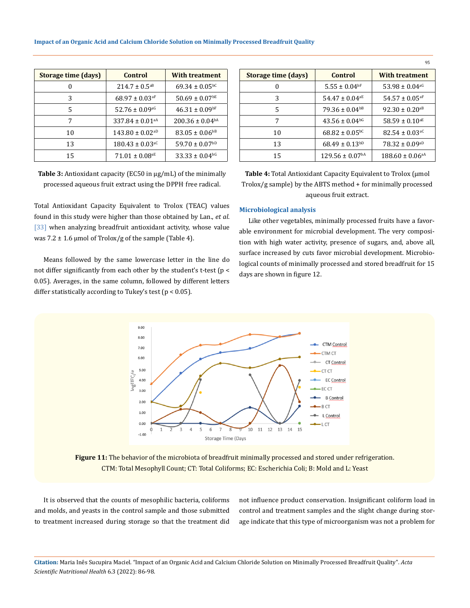| Storage time (days) | Control                         | <b>With treatment</b>           |
|---------------------|---------------------------------|---------------------------------|
| 0                   | $214.7 \pm 0.5^{aB}$            | $69.34 \pm 0.05$ <sup>bC</sup>  |
| 3                   | $68.97 \pm 0.03$ <sup>aF</sup>  | $50.69 \pm 0.07$ <sup>bE</sup>  |
| 5                   | $52.76 \pm 0.09$ <sup>aG</sup>  | $46.31 \pm 0.09$ <sup>bF</sup>  |
| 7                   | 337.84 ± 0.01 <sup>aA</sup>     | $200.36 \pm 0.04$ <sup>bA</sup> |
| 10                  | $143.80 \pm 0.02$ <sup>aD</sup> | $83.05 \pm 0.06^{b}$            |
| 13                  | $180.43 \pm 0.03$ <sup>aC</sup> | $59.70 \pm 0.07^{bD}$           |
| 15                  | $71.01 \pm 0.08$ <sup>aE</sup>  | $33.33 \pm 0.04$ <sup>bG</sup>  |

**Table 3:** Antioxidant capacity (EC50 in μg/mL) of the minimally processed aqueous fruit extract using the DPPH. free radical.

Total Antioxidant Capacity Equivalent to Trolox (TEAC) values found in this study were higher than those obtained by Lan., *et al*. [33] when analyzing breadfruit antioxidant activity, whose value was 7.2  $\pm$  1.6 µmol of Trolox/g of the sample (Table 4).

Means followed by the same lowercase letter in the line do not differ significantly from each other by the student's t-test (p < 0.05). Averages, in the same column, followed by different letters differ statistically according to Tukey's test ( $p < 0.05$ ).

| Storage time (days) | Control                         | <b>With treatment</b>           |
|---------------------|---------------------------------|---------------------------------|
| 0                   | $5.55 \pm 0.04$ <sup>bF</sup>   | 53.98 ± 0.04 <sup>aG</sup>      |
| 3                   | $54.47 \pm 0.04$ <sup>aE</sup>  | $54.57 \pm 0.05$ <sup>aF</sup>  |
| 5                   | $79.36 \pm 0.04$ <sup>bB</sup>  | 92.30 $\pm$ 0.20 <sup>aB</sup>  |
| 7                   | $43.56 \pm 0.04$ <sup>bG</sup>  | $58.59 \pm 0.10^{\text{aE}}$    |
| 10                  | $68.82 \pm 0.05$ <sup>bC</sup>  | $82.54 \pm 0.03$ <sup>aC</sup>  |
| 13                  | $68.49 \pm 0.13^{bD}$           | $78.32 \pm 0.09^{aD}$           |
| 15                  | $129.56 \pm 0.07$ <sup>bA</sup> | $188.60 \pm 0.06$ <sup>aA</sup> |

95

**Table 4:** Total Antioxidant Capacity Equivalent to Trolox (μmol Trolox/g sample) by the ABTS method + for minimally processed aqueous fruit extract.

# **Microbiological analysis**

Like other vegetables, minimally processed fruits have a favorable environment for microbial development. The very composition with high water activity, presence of sugars, and, above all, surface increased by cuts favor microbial development. Microbiological counts of minimally processed and stored breadfruit for 15 days are shown in figure 12.



**Figure 11:** The behavior of the microbiota of breadfruit minimally processed and stored under refrigeration. CTM: Total Mesophyll Count; CT: Total Coliforms; EC: Escherichia Coli; B: Mold and L: Yeast

It is observed that the counts of mesophilic bacteria, coliforms and molds, and yeasts in the control sample and those submitted to treatment increased during storage so that the treatment did not influence product conservation. Insignificant coliform load in control and treatment samples and the slight change during storage indicate that this type of microorganism was not a problem for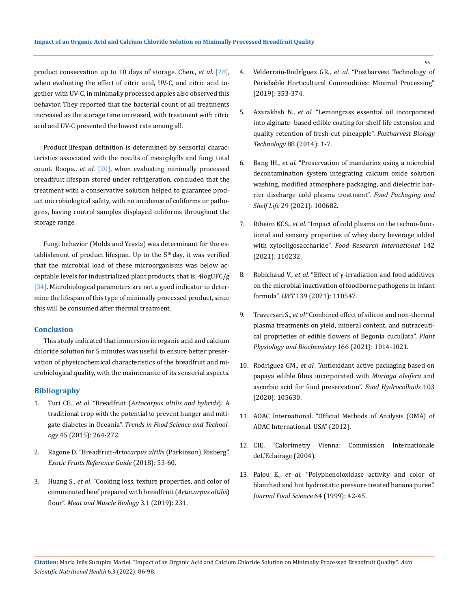product conservation up to 10 days of storage. Chen., *et al*. [28], when evaluating the effect of citric acid, UV-C, and citric acid together with UV-C, in minimally processed apples also observed this behavior. They reported that the bacterial count of all treatments increased as the storage time increased, with treatment with citric acid and UV-C presented the lowest rate among all.

Product lifespan definition is determined by sensorial characteristics associated with the results of mesophylls and fungi total count. Roopa., *et al*. [20], when evaluating minimally processed breadfruit lifespan stored under refrigeration, concluded that the treatment with a conservative solution helped to guarantee product microbiological safety, with no incidence of coliforms or pathogens, having control samples displayed coliforms throughout the storage range.

Fungi behavior (Molds and Yeasts) was determinant for the establishment of product lifespan. Up to the  $5<sup>th</sup>$  day, it was verified that the microbial load of these microorganisms was below acceptable levels for industrialized plant products, that is, 4logUFC/g [34]. Microbiological parameters are not a good indicator to determine the lifespan of this type of minimally processed product, since this will be consumed after thermal treatment.

## **Conclusion**

This study indicated that immersion in organic acid and calcium chloride solution for 5 minutes was useful to ensure better preservation of physicochemical characteristics of the breadfruit and microbiological quality, with the maintenance of its sensorial aspects.

# **Bibliography**

- 1. Turi CE., *et al*. "Breadfruit (*[Artocarpus altilis and hybrids](https://www.sciencedirect.com/science/article/abs/pii/S0924224415001818)*): A [traditional crop with the potential to prevent hunger and miti](https://www.sciencedirect.com/science/article/abs/pii/S0924224415001818)gate diabetes in Oceania". *[Trends in Food Science and Technol](https://www.sciencedirect.com/science/article/abs/pii/S0924224415001818)ogy* [45 \(2015\): 264-272.](https://www.sciencedirect.com/science/article/abs/pii/S0924224415001818)
- 2. Ragone D. "Breadfruit*-Artocarpus altilis* [\(Parkinson\) Fosberg".](https://www.sciencedirect.com/science/article/pii/B9780128031384000095)  *[Exotic Fruits Reference Guide](https://www.sciencedirect.com/science/article/pii/B9780128031384000095)* (2018): 53-60.
- 3. Huang S., *et al*[. "Cooking loss, texture properties, and color of](file:///C:/Users/DELL/Desktop/07-02-2022/PDF/ASNH/ASNH-21-RA-342/Cooking%20loss,%20texture%20properties,%20and%20color%20of%20comminuted%20beef%20prepared%20with%20breadfruit%20(Artocarpus%20altilis)%20flour”)  [comminuted beef prepared with breadfruit \(](file:///C:/Users/DELL/Desktop/07-02-2022/PDF/ASNH/ASNH-21-RA-342/Cooking%20loss,%20texture%20properties,%20and%20color%20of%20comminuted%20beef%20prepared%20with%20breadfruit%20(Artocarpus%20altilis)%20flour”)*Artocarpus altilis*) flour". *[Meat and Muscle Biology](file:///C:/Users/DELL/Desktop/07-02-2022/PDF/ASNH/ASNH-21-RA-342/Cooking%20loss,%20texture%20properties,%20and%20color%20of%20comminuted%20beef%20prepared%20with%20breadfruit%20(Artocarpus%20altilis)%20flour”)* 3.1 (2019): 231.
- 4. Velderrain-Rodríguez GR., *et al*[. "Postharvest Technology of](https://www.elsevier.com/books/postharvest-technology-of-perishable-horticultural-commodities/yahia/978-0-12-813276-0)  [Perishable Horticultural Commodities: Minimal Processing"](https://www.elsevier.com/books/postharvest-technology-of-perishable-horticultural-commodities/yahia/978-0-12-813276-0)  [\(2019\): 353-374.](https://www.elsevier.com/books/postharvest-technology-of-perishable-horticultural-commodities/yahia/978-0-12-813276-0)
- 5. Azarakhsh N., *et al.* ["Lemongrass essential oil incorporated](https://www.sciencedirect.com/science/article/abs/pii/S0925521413002792)  [into alginate- based edible coating for shelf-life extension and](https://www.sciencedirect.com/science/article/abs/pii/S0925521413002792)  [quality retention of fresh-cut pineapple".](https://www.sciencedirect.com/science/article/abs/pii/S0925521413002792) *Postharvest Biology Technology* [88 \(2014\): 1-7.](https://www.sciencedirect.com/science/article/abs/pii/S0925521413002792)
- 6. Bang IH., *et al*[. "Preservation of mandarins using a microbial](https://www.sciencedirect.com/science/article/abs/pii/S2214289421000508)  [decontamination system integrating calcium oxide solution](https://www.sciencedirect.com/science/article/abs/pii/S2214289421000508)  [washing, modified atmosphere packaging, and dielectric bar](https://www.sciencedirect.com/science/article/abs/pii/S2214289421000508)[rier discharge cold plasma treatment".](https://www.sciencedirect.com/science/article/abs/pii/S2214289421000508) *Food Packaging and Shelf Life* [29 \(2021\): 100682.](https://www.sciencedirect.com/science/article/abs/pii/S2214289421000508)
- 7. Ribeiro KCS., *et al*[. "Impact of cold plasma on the techno-func](https://pubmed.ncbi.nlm.nih.gov/33773691/)[tional and sensory properties of whey dairy beverage added](https://pubmed.ncbi.nlm.nih.gov/33773691/)  with xylooligosaccharide". *[Food Research International](https://pubmed.ncbi.nlm.nih.gov/33773691/)* 142 [\(2021\): 110232.](https://pubmed.ncbi.nlm.nih.gov/33773691/)
- 8. Robichaud V., *et al.* ["Effect of γ-irradiation and food additives](https://www.researchgate.net/publication/346870518_Effect_of_g-irradiation_and_food_additives_on_the_microbial_inactivation_of_foodborne_pathogens_in_infant_formula)  [on the microbial inactivation of foodborne pathogens in infant](https://www.researchgate.net/publication/346870518_Effect_of_g-irradiation_and_food_additives_on_the_microbial_inactivation_of_foodborne_pathogens_in_infant_formula)  formula". *LWT* [139 \(2021\): 110547.](https://www.researchgate.net/publication/346870518_Effect_of_g-irradiation_and_food_additives_on_the_microbial_inactivation_of_foodborne_pathogens_in_infant_formula)
- 9. Traversari S., *et al* ["Combined effect of silicon and non-thermal](https://pubmed.ncbi.nlm.nih.gov/34273738/)  [plasma treatments on yield, mineral content, and nutraceuti](https://pubmed.ncbi.nlm.nih.gov/34273738/)[cal proprieties of edible flowers of Begonia cucullata".](https://pubmed.ncbi.nlm.nih.gov/34273738/) *Plant [Physiology and Biochemistry](https://pubmed.ncbi.nlm.nih.gov/34273738/)* 166 (2021): 1014-1021.
- 10. Rodríguez GM., *et al. "*[Antioxidant active packaging based on](https://www.sciencedirect.com/science/article/abs/pii/S0268005X19325937)  [papaya edible films incorporated with](https://www.sciencedirect.com/science/article/abs/pii/S0268005X19325937) *Moringa oleifera* and [ascorbic acid for food preservation".](https://www.sciencedirect.com/science/article/abs/pii/S0268005X19325937) *Food Hydrocolloids* 103 [\(2020\): 105630.](https://www.sciencedirect.com/science/article/abs/pii/S0268005X19325937)
- 11. [AOAC International. "Official Methods of Analysis \(OMA\) of](https://www.aoac.org/official-methods-of-analysis-21st-edition-2019/)  [AOAC International. USA" \(2012\).](https://www.aoac.org/official-methods-of-analysis-21st-edition-2019/)
- 12. [CIE. "Calorimetry Vienna: Commission Internationale](https://cie.co.at/publications/colorimetry-4th-edition)  [deL'Eclairage \(2004\).](https://cie.co.at/publications/colorimetry-4th-edition)
- 13. Palou E., *et al.* ["Polyphenoloxidase activity and color of](https://ift.onlinelibrary.wiley.com/doi/abs/10.1111/j.1365-2621.1999.tb09857.x)  [blanched and hot hydrostatic pressure treated banana puree".](https://ift.onlinelibrary.wiley.com/doi/abs/10.1111/j.1365-2621.1999.tb09857.x)  *[Journal Food Science](https://ift.onlinelibrary.wiley.com/doi/abs/10.1111/j.1365-2621.1999.tb09857.x)* 64 (1999): 42-45.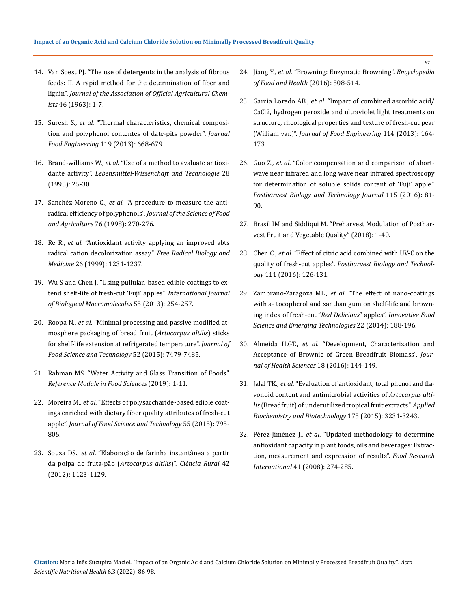- 14. [Van Soest PJ. "The use of detergents in the analysis of fibrous](https://academic.oup.com/jaoac/article-abstract/73/4/491/5692005)  [feeds: II. A rapid method for the determination of fiber and](https://academic.oup.com/jaoac/article-abstract/73/4/491/5692005)  lignin". *[Journal of the Association of Official Agricultural Chem](https://academic.oup.com/jaoac/article-abstract/73/4/491/5692005)ists* [46 \(1963\): 1-7.](https://academic.oup.com/jaoac/article-abstract/73/4/491/5692005)
- 15. Suresh S., *et al*[. "Thermal characteristics, chemical composi](https://www.researchgate.net/publication/256429245_Thermal_characteristics_chemical_composition_and_polyphenol_contents_of_date-pits_powder)[tion and polyphenol contentes of date-pits powder".](https://www.researchgate.net/publication/256429245_Thermal_characteristics_chemical_composition_and_polyphenol_contents_of_date-pits_powder) *Journal Food Engineering* [119 \(2013\): 668-679.](https://www.researchgate.net/publication/256429245_Thermal_characteristics_chemical_composition_and_polyphenol_contents_of_date-pits_powder)
- 16. Brand-williams W., *et al*[. "Use of a method to avaluate antioxi](https://www.sciencedirect.com/science/article/abs/pii/S0023643895800085)dante activity". *[Lebensmittel-Wissenchaft and Technologie](https://www.sciencedirect.com/science/article/abs/pii/S0023643895800085)* 28 [\(1995\): 25-30.](https://www.sciencedirect.com/science/article/abs/pii/S0023643895800085)
- 17. Sanchéz-Moreno C., *et al*[. "A procedure to measure the anti](https://onlinelibrary.wiley.com/doi/abs/10.1002/%28SICI%291097-0010%28199802%2976%3A2%3C270%3A%3AAID-JSFA945%3E3.0.CO%3B2-9)radical efficiency of polyphenols". *[Journal of the Science of Food](https://onlinelibrary.wiley.com/doi/abs/10.1002/%28SICI%291097-0010%28199802%2976%3A2%3C270%3A%3AAID-JSFA945%3E3.0.CO%3B2-9)  and Agriculture* [76 \(1998\): 270-276.](https://onlinelibrary.wiley.com/doi/abs/10.1002/%28SICI%291097-0010%28199802%2976%3A2%3C270%3A%3AAID-JSFA945%3E3.0.CO%3B2-9)
- 18. Re R., *et al.* ["Antioxidant activity applying an improved abts](https://www.sciencedirect.com/science/article/abs/pii/S0891584998003153)  [radical cation decolorization assay".](https://www.sciencedirect.com/science/article/abs/pii/S0891584998003153) *Free Radical Biology and Medicine* [26 \(1999\): 1231-1237.](https://www.sciencedirect.com/science/article/abs/pii/S0891584998003153)
- 19. [Wu S and Chen J. "Using pullulan-based edible coatings to ex](https://www.sciencedirect.com/science/article/abs/pii/S0141813013000196)[tend shelf-life of fresh-cut 'Fuji' apples".](https://www.sciencedirect.com/science/article/abs/pii/S0141813013000196) *International Journal of Biological Macromolecules* [55 \(2013\): 254-257.](https://www.sciencedirect.com/science/article/abs/pii/S0141813013000196)
- 20. Roopa N., *et al*[. "Minimal processing and passive modified at](https://www.researchgate.net/publication/275257301_Minimal_processing_and_passive_modified_atmosphere_packaging_of_bread_fruit_Artocarpus_altilis_sticks_for_shelf_life_extension_at_refrigerated_temperature)[mosphere packaging of bread fruit \(](https://www.researchgate.net/publication/275257301_Minimal_processing_and_passive_modified_atmosphere_packaging_of_bread_fruit_Artocarpus_altilis_sticks_for_shelf_life_extension_at_refrigerated_temperature)*Artocarpus altilis*) sticks [for shelf-life extension at refrigerated temperature".](https://www.researchgate.net/publication/275257301_Minimal_processing_and_passive_modified_atmosphere_packaging_of_bread_fruit_Artocarpus_altilis_sticks_for_shelf_life_extension_at_refrigerated_temperature) *Journal of [Food Science and Technology](https://www.researchgate.net/publication/275257301_Minimal_processing_and_passive_modified_atmosphere_packaging_of_bread_fruit_Artocarpus_altilis_sticks_for_shelf_life_extension_at_refrigerated_temperature)* 52 (2015): 7479-7485.
- 21. [Rahman MS. "Water Activity and Glass Transition of Foods".](https://www.researchgate.net/publication/230094960_Water_Activity_and_Glass_Transition)  *[Reference Module in Food Sciences](https://www.researchgate.net/publication/230094960_Water_Activity_and_Glass_Transition)* (2019): 1-11.
- 22. Moreira M., *et al*[. "Effects of polysaccharide-based edible coat](https://pubmed.ncbi.nlm.nih.gov/26604352/)[ings enriched with dietary fiber quality attributes of fresh-cut](https://pubmed.ncbi.nlm.nih.gov/26604352/)  apple". *[Journal of Food Science and Technology](https://pubmed.ncbi.nlm.nih.gov/26604352/)* 55 (2015): 795- [805.](https://pubmed.ncbi.nlm.nih.gov/26604352/)
- 23. Souza DS., *et al*[. "Elaboração de farinha instantânea a partir](https://www.researchgate.net/publication/277311098_Elaboracao_de_farinha_instantanea_a_partir_da_polpa_de_fruta-pao_Artocarpus_altilis)  [da polpa de fruta-pão \(](https://www.researchgate.net/publication/277311098_Elaboracao_de_farinha_instantanea_a_partir_da_polpa_de_fruta-pao_Artocarpus_altilis)*Artocarpus altilis*)". *Ciência Rural* 42 [\(2012\): 1123-1129.](https://www.researchgate.net/publication/277311098_Elaboracao_de_farinha_instantanea_a_partir_da_polpa_de_fruta-pao_Artocarpus_altilis)
- 24. Jiang Y., *et al*[. "Browning: Enzymatic Browning".](https://www.researchgate.net/publication/301702525_Browning_Enzymatic_Browning) *Encyclopedia [of Food and Health](https://www.researchgate.net/publication/301702525_Browning_Enzymatic_Browning)* (2016): 508-514.
- 25. Garcia Loredo AB., *et al*[. "Impact of combined ascorbic acid/](https://agris.fao.org/agris-search/search.do?recordID=US201900092183) [CaCl2, hydrogen peroxide and ultraviolet light treatments on](https://agris.fao.org/agris-search/search.do?recordID=US201900092183)  [structure, rheological properties and texture of fresh-cut pear](https://agris.fao.org/agris-search/search.do?recordID=US201900092183)  (William var.)". *[Journal of Food Engineering](https://agris.fao.org/agris-search/search.do?recordID=US201900092183)* 114 (2013): 164- [173.](https://agris.fao.org/agris-search/search.do?recordID=US201900092183)
- 26. Guo Z., *et al*[. "Color compensation and comparison of short](https://www.sciencedirect.com/science/article/abs/pii/S0925521415302088)[wave near infrared and long wave near infrared spectroscopy](https://www.sciencedirect.com/science/article/abs/pii/S0925521415302088)  [for determination of soluble solids content of 'Fuji' apple".](https://www.sciencedirect.com/science/article/abs/pii/S0925521415302088)  *[Postharvest Biology and Technology Journal](https://www.sciencedirect.com/science/article/abs/pii/S0925521415302088)* 115 (2016): 81- [90.](https://www.sciencedirect.com/science/article/abs/pii/S0925521415302088)
- 27. [Brasil IM and Siddiqui M. "Preharvest Modulation of Posthar](https://www.sciencedirect.com/book/9780128098073/preharvest-modulation-of-postharvest-fruit-and-vegetable-quality)[vest Fruit and Vegetable Quality" \(2018\): 1-40.](https://www.sciencedirect.com/book/9780128098073/preharvest-modulation-of-postharvest-fruit-and-vegetable-quality)
- 28. Chen C., *et al*[. "Effect of citric acid combined with UV-C on the](https://www.sciencedirect.com/science/article/abs/pii/S0925521415300855)  quality of fresh-cut apples". *[Postharvest Biology and Technol](https://www.sciencedirect.com/science/article/abs/pii/S0925521415300855)ogy* [111 \(2016\): 126-131.](https://www.sciencedirect.com/science/article/abs/pii/S0925521415300855)
- 29. Zambrano-Zaragoza ML., *et al*[. "The effect of nano-coatings](https://www.sciencedirect.com/science/article/abs/pii/S146685641300146X)  [with a- tocopherol and xanthan gum on shelf-life and brown](https://www.sciencedirect.com/science/article/abs/pii/S146685641300146X)[ing index of fresh-cut "](https://www.sciencedirect.com/science/article/abs/pii/S146685641300146X)*Red Delicious*" apples". *Innovative Food [Science and Emerging Technologies](https://www.sciencedirect.com/science/article/abs/pii/S146685641300146X)* 22 (2014): 188-196.
- 30. Almeida ILGT., *et al.* ["Development, Characterization and](https://www.scirp.org/journal/paperinformation.aspx?paperid=69531)  [Acceptance of Brownie of Green Breadfruit Biomass".](https://www.scirp.org/journal/paperinformation.aspx?paperid=69531) *Journal of [Health Sciences](https://www.scirp.org/journal/paperinformation.aspx?paperid=69531)* 18 (2016): 144-149.
- 31. Jalal TK., *et al*[. "Evaluation of antioxidant, total phenol and fla](https://pubmed.ncbi.nlm.nih.gov/25649443/)[vonoid content and antimicrobial activities of](https://pubmed.ncbi.nlm.nih.gov/25649443/) *Artocarpus altilis* [\(Breadfruit\) of underutilized tropical fruit extracts".](https://pubmed.ncbi.nlm.nih.gov/25649443/) *Applied [Biochemistry and Biotechnology](https://pubmed.ncbi.nlm.nih.gov/25649443/)* 175 (2015): 3231-3243.
- 32. Pérez-Jiménez J., *et al*[. "Updated methodology to determine](https://www.sciencedirect.com/science/article/abs/pii/S0963996907002062)  [antioxidant capacity in plant foods, oils and beverages: Extrac](https://www.sciencedirect.com/science/article/abs/pii/S0963996907002062)[tion, measurement and expression of results".](https://www.sciencedirect.com/science/article/abs/pii/S0963996907002062) *Food Research International* [41 \(2008\): 274-285.](https://www.sciencedirect.com/science/article/abs/pii/S0963996907002062)